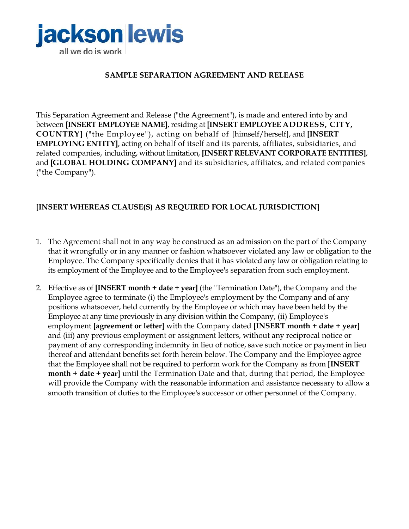

## **SAMPLE SEPARATION AGREEMENT AND RELEASE**

This Separation Agreement and Release ("the Agreement"), is made and entered into by and between **[INSERT EMPLOYEE NAME]**, residing at **[INSERT EMPLOYEE ADDRESS, CITY, COUNTRY]** ("the Employee"), acting on behalf of [himself/herself], and **[INSERT EMPLOYING ENTITY]**, acting on behalf of itself and its parents, affiliates, subsidiaries, and related companies, including, without limitation, **[INSERT RELEVANT CORPORATE ENTITIES]**, and **[GLOBAL HOLDING COMPANY]** and its subsidiaries, affiliates, and related companies ("the Company").

## **[INSERT WHEREAS CLAUSE(S) AS REQUIRED FOR LOCAL JURISDICTION]**

- 1. The Agreement shall not in any way be construed as an admission on the part of the Company that it wrongfully or in any manner or fashion whatsoever violated any law or obligation to the Employee. The Company specifically denies that it has violated any law or obligation relating to its employment of the Employee and to the Employee's separation from such employment.
- 2. Effective as of **[INSERT month + date + year]** (the "Termination Date"), the Company and the Employee agree to terminate (i) the Employee's employment by the Company and of any positions whatsoever, held currently by the Employee or which may have been held by the Employee at any time previously in any division within the Company, (ii) Employee's employment **[agreement or letter]** with the Company dated **[INSERT month + date + year]** and (iii) any previous employment or assignment letters, without any reciprocal notice or payment of any corresponding indemnity in lieu of notice, save such notice or payment in lieu thereof and attendant benefits set forth herein below. The Company and the Employee agree that the Employee shall not be required to perform work for the Company as from **[INSERT month + date + year]** until the Termination Date and that, during that period, the Employee will provide the Company with the reasonable information and assistance necessary to allow a smooth transition of duties to the Employee's successor or other personnel of the Company.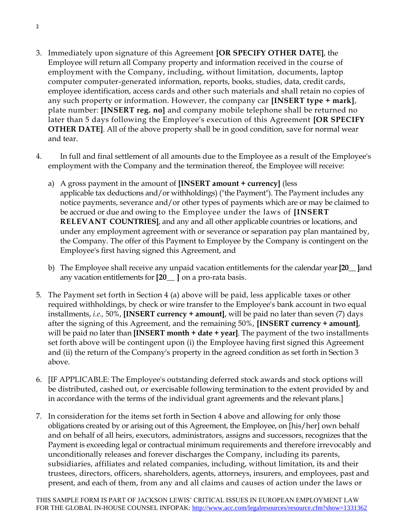- 3. Immediately upon signature of this Agreement **[OR SPECIFY OTHER DATE]**, the Employee will return all Company property and information received in the course of employment with the Company, including, without limitation, documents, laptop computer computer-generated information, reports, books, studies, data, credit cards, employee identification, access cards and other such materials and shall retain no copies of any such property or information. However, the company car **[INSERT type + mark]**, plate number: **[INSERT reg. no]** and company mobile telephone shall be returned no later than 5 days following the Employee's execution of this Agreement **[OR SPECIFY OTHER DATE]**. All of the above property shall be in good condition, save for normal wear and tear.
- 4. In full and final settlement of all amounts due to the Employee as a result of the Employee's employment with the Company and the termination thereof, the Employee will receive:
	- a) A gross payment in the amount of **[INSERT amount + currency]** (less applicable tax deductions and/or withholdings) ("the Payment"). The Payment includes any notice payments, severance and/or other types of payments which are or may be claimed to be accrued or due and owing to the Employee under the laws of **[INSERT RELEVANT COUNTRIES]**, and any and all other applicable countries or locations, and under any employment agreement with or severance or separation pay plan mantained by, the Company. The offer of this Payment to Employee by the Company is contingent on the Employee's first having signed this Agreement, and
	- b) The Employee shall receive any unpaid vacation entitlements for the calendar year **[20\_\_ ]**and any vacation entitlements for **[20\_\_ ]** on a pro-rata basis.
- 5. The Payment set forth in Section 4 (a) above will be paid, less applicable taxes or other required withholdings, by check or wire transfer to the Employee's bank account in two equal installments, *i.e.,* 50%, **[INSERT currency + amount]**, will be paid no later than seven (7) days after the signing of this Agreement, and the remaining 50%, **[INSERT currency + amount]**, will be paid no later than **[INSERT month + date + year]**. The payment of the two installments set forth above will be contingent upon (i) the Employee having first signed this Agreement and (ii) the return of the Company's property in the agreed condition as set forth in Section 3 above.
- 6. [IF APPLICABLE: The Employee's outstanding deferred stock awards and stock options will be distributed, cashed out, or exercisable following termination to the extent provided by and in accordance with the terms of the individual grant agreements and the relevant plans.]
- 7. In consideration for the items set forth in Section 4 above and allowing for only those obligations created by or arising out of this Agreement, the Employee, on [his/her] own behalf and on behalf of all heirs, executors, administrators, assigns and successors, recognizes that the Payment is exceeding legal or contractual minimum requirements and therefore irrevocably and unconditionally releases and forever discharges the Company, including its parents, subsidiaries, affiliates and related companies, including, without limitation, its and their trustees, directors, officers, shareholders, agents, attorneys, insurers, and employees, past and present, and each of them, from any and all claims and causes of action under the laws or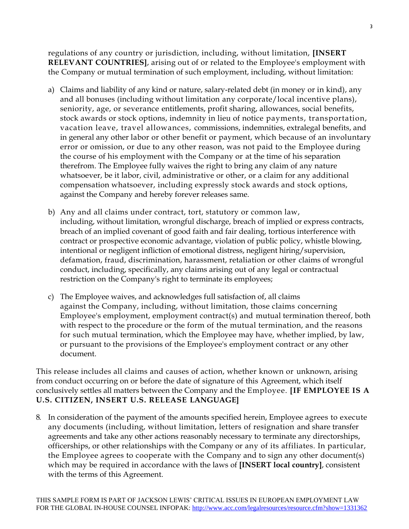regulations of any country or jurisdiction, including, without limitation, **[INSERT RELEVANT COUNTRIES]**, arising out of or related to the Employee's employment with the Company or mutual termination of such employment, including, without limitation:

- a) Claims and liability of any kind or nature, salary-related debt (in money or in kind), any and all bonuses (including without limitation any corporate/local incentive plans), seniority, age, or severance entitlements, profit sharing, allowances, social benefits, stock awards or stock options, indemnity in lieu of notice payments, transportation, vacation leave, travel allowances, commissions, indemnities, extralegal benefits, and in general any other labor or other benefit or payment, which because of an involuntary error or omission, or due to any other reason, was not paid to the Employee during the course of his employment with the Company or at the time of his separation therefrom. The Employee fully waives the right to bring any claim of any nature whatsoever, be it labor, civil, administrative or other, or a claim for any additional compensation whatsoever, including expressly stock awards and stock options, against the Company and hereby forever releases same.
- b) Any and all claims under contract, tort, statutory or common law, including, without limitation, wrongful discharge, breach of implied or express contracts, breach of an implied covenant of good faith and fair dealing, tortious interference with contract or prospective economic advantage, violation of public policy, whistle blowing, intentional or negligent infliction of emotional distress, negligent hiring/supervision, defamation, fraud, discrimination, harassment, retaliation or other claims of wrongful conduct, including, specifically, any claims arising out of any legal or contractual restriction on the Company's right to terminate its employees;
- c) The Employee waives, and acknowledges full satisfaction of, all claims against the Company, including, without limitation, those claims concerning Employee's employment, employment contract(s) and mutual termination thereof, both with respect to the procedure or the form of the mutual termination, and the reasons for such mutual termination, which the Employee may have, whether implied, by law, or pursuant to the provisions of the Employee's employment contract or any other document.

This release includes all claims and causes of action, whether known or unknown, arising from conduct occurring on or before the date of signature of this Agreement, which itself conclusively settles all matters between the Company and the Employee. **[IF EMPLOYEE IS A U.S. CITIZEN, INSERT U.S. RELEASE LANGUAGE]**

8. In consideration of the payment of the amounts specified herein, Employee agrees to execute any documents (including, without limitation, letters of resignation and share transfer agreements and take any other actions reasonably necessary to terminate any directorships, officerships, or other relationships with the Company or any of its affiliates. In particular, the Employee agrees to cooperate with the Company and to sign any other document(s) which may be required in accordance with the laws of **[INSERT local country]**, consistent with the terms of this Agreement.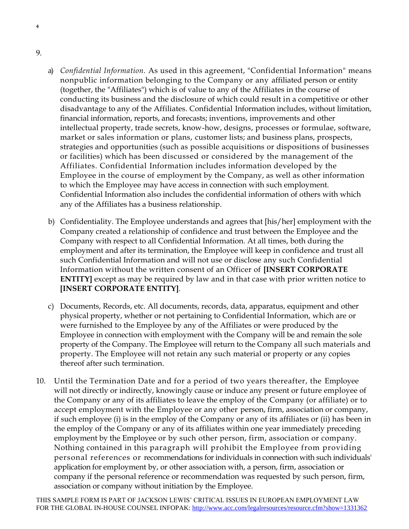9.

4

- a) *Confidential Information.* As used in this agreement, "Confidential Information" means nonpublic information belonging to the Company or any affiliated person or entity (together, the "Affiliates") which is of value to any of the Affiliates in the course of conducting its business and the disclosure of which could result in a competitive or other disadvantage to any of the Affiliates. Confidential Information includes, without limitation, financial information, reports, and forecasts; inventions, improvements and other intellectual property, trade secrets, know-how, designs, processes or formulae, software, market or sales information or plans, customer lists; and business plans, prospects, strategies and opportunities (such as possible acquisitions or dispositions of businesses or facilities) which has been discussed or considered by the management of the Affiliates. Confidential Information includes information developed by the Employee in the course of employment by the Company, as well as other information to which the Employee may have access in connection with such employment. Confidential Information also includes the confidential information of others with which any of the Affiliates has a business relationship.
- b) Confidentiality. The Employee understands and agrees that [his/her] employment with the Company created a relationship of confidence and trust between the Employee and the Company with respect to all Confidential Information. At all times, both during the employment and after its termination, the Employee will keep in confidence and trust all such Confidential Information and will not use or disclose any such Confidential Information without the written consent of an Officer of **[INSERT CORPORATE ENTITY]** except as may be required by law and in that case with prior written notice to **[INSERT CORPORATE ENTITY]**.
- c) Documents, Records, etc. All documents, records, data, apparatus, equipment and other physical property, whether or not pertaining to Confidential Information, which are or were furnished to the Employee by any of the Affiliates or were produced by the Employee in connection with employment with the Company will be and remain the sole property of the Company. The Employee will return to the Company all such materials and property. The Employee will not retain any such material or property or any copies thereof after such termination.
- 10. Until the Termination Date and for a period of two years thereafter, the Employee will not directly or indirectly, knowingly cause or induce any present or future employee of the Company or any of its affiliates to leave the employ of the Company (or affiliate) or to accept employment with the Employee or any other person, firm, association or company, if such employee (i) is in the employ of the Company or any of its affiliates or (ii) has been in the employ of the Company or any of its affiliates within one year immediately preceding employment by the Employee or by such other person, firm, association or company. Nothing contained in this paragraph will prohibit the Employee from providing personal references or recommendations for individuals in connection with such individuals' application for employment by, or other association with, a person, firm, association or company if the personal reference or recommendation was requested by such person, firm, association or company without initiation by the Employee.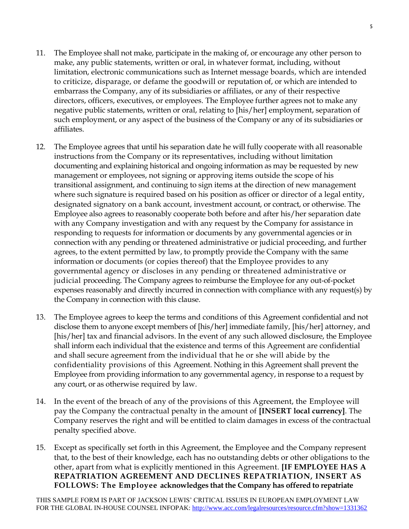- 11. The Employee shall not make, participate in the making of, or encourage any other person to make, any public statements, written or oral, in whatever format, including, without limitation, electronic communications such as Internet message boards, which are intended to criticize, disparage, or defame the goodwill or reputation of, or which are intended to embarrass the Company, any of its subsidiaries or affiliates, or any of their respective directors, officers, executives, or employees. The Employee further agrees not to make any negative public statements, written or oral, relating to [his/her] employment, separation of such employment, or any aspect of the business of the Company or any of its subsidiaries or affiliates.
- 12. The Employee agrees that until his separation date he will fully cooperate with all reasonable instructions from the Company or its representatives, including without limitation documenting and explaining historical and ongoing information as may be requested by new management or employees, not signing or approving items outside the scope of his transitional assignment, and continuing to sign items at the direction of new management where such signature is required based on his position as officer or director of a legal entity, designated signatory on a bank account, investment account, or contract, or otherwise. The Employee also agrees to reasonably cooperate both before and after his/her separation date with any Company investigation and with any request by the Company for assistance in responding to requests for information or documents by any governmental agencies or in connection with any pending or threatened administrative or judicial proceeding, and further agrees, to the extent permitted by law, to promptly provide the Company with the same information or documents (or copies thereof) that the Employee provides to any governmental agency or discloses in any pending or threatened administrative or judicial proceeding. The Company agrees to reimburse the Employee for any out-of-pocket expenses reasonably and directly incurred in connection with compliance with any request(s) by the Company in connection with this clause.
- 13. The Employee agrees to keep the terms and conditions of this Agreement confidential and not disclose them to anyone except members of [his/her] immediate family, [his/her] attorney, and [his/her] tax and financial advisors. In the event of any such allowed disclosure, the Employee shall inform each individual that the existence and terms of this Agreement are confidential and shall secure agreement from the individual that he or she will abide by the confidentiality provisions of this Agreement. Nothing in this Agreement shall prevent the Employee from providing information to any governmental agency, in response to a request by any court, or as otherwise required by law.
- 14. In the event of the breach of any of the provisions of this Agreement, the Employee will pay the Company the contractual penalty in the amount of **[INSERT local currency]**. The Company reserves the right and will be entitled to claim damages in excess of the contractual penalty specified above.
- 15. Except as specifically set forth in this Agreement, the Employee and the Company represent that, to the best of their knowledge, each has no outstanding debts or other obligations to the other, apart from what is explicitly mentioned in this Agreement. **[IF EMPLOYEE HAS A REPATRIATION AGREEMENT AND DECLINES REPATRIATION, INSERT AS FOLLOWS: The Employee acknowledges that the Company has offered to repatriate**